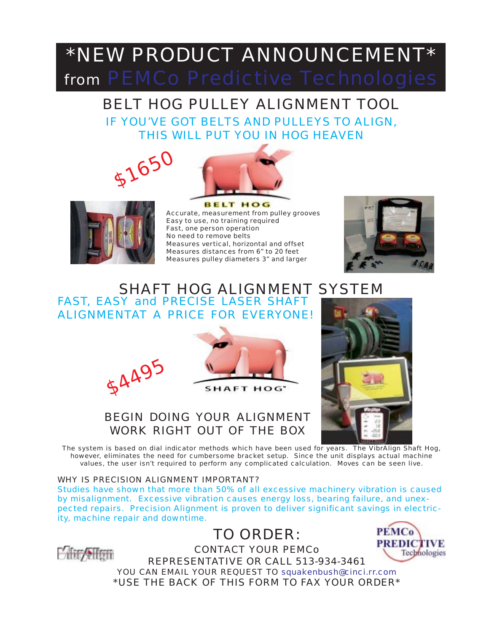# \*NEW PRODUCT ANNOUNCEMENT\* from PEMCo Predictive Technologies

## BELT HOG PULLEY ALIGNMENT TOOL IF YOU'VE GOT BELTS AND PULLEYS TO ALIGN, THIS WILL PUT YOU IN HOG HEAVEN







**BELT HOG** Accurate, measurement from pulley grooves Easy to use, no training required Fast, one person operation No need to remove belts Measures vertical, horizontal and offset Measures distances from 6" to 20 feet Measures pulley diameters 3" and larger



#### SHAFT HOG ALIGNMENT SYSTEM FAST, EASY and PRECISE LASER SHAFT ALIGNMENTAT A PRICE FOR EVERYONE!







### BEGIN DOING YOUR ALIGNMENT WORK RIGHT OUT OF THE BOX

The system is based on dial indicator methods which have been used for years. The VibrAlign Shaft Hog, however, eliminates the need for cumbersome bracket setup. Since the unit displays actual machine values, the user isn't required to perform any complicated calculation. Moves can be seen live.

#### WHY IS PRECISION ALIGNMENT IMPORTANT?

Studies have shown that more than 50% of all excessive machinery vibration is caused by misalignment. Excessive vibration causes energy loss, bearing failure, and unexpected repairs. Precision Alignment is proven to deliver significant savings in electricity, machine repair and downtime.





CONTACT YOUR PEMCo REPRESENTATIVE OR CALL 513-934-3461



YOU CAN EMAIL YOUR REQUEST TO squakenbush@cinci.rr.com \*USE THE BACK OF THIS FORM TO FAX YOUR ORDER\*